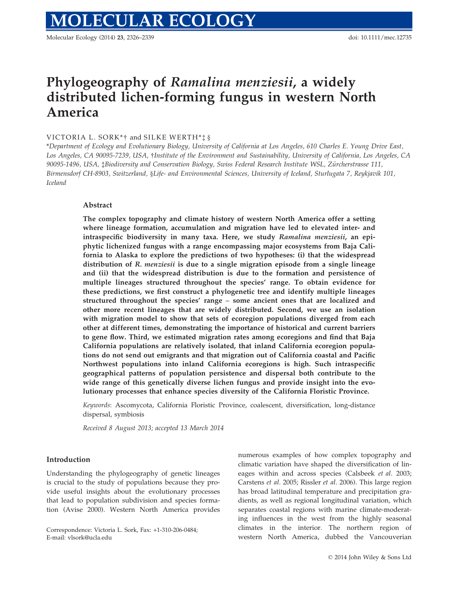Molecular Ecology (2014) 23, 2326–2339 doi: 10.1111/mec.12735

# Phylogeography of Ramalina menziesii, a widely distributed lichen-forming fungus in western North America

# VICTORIA L. SORK\*† and SILKE WERTH\*\*\* §

\*Department of Ecology and Evolutionary Biology, University of California at Los Angeles, 610 Charles E. Young Drive East, Los Angeles, CA 90095-7239, USA, †Institute of the Environment and Sustainability, University of California, Los Angeles, CA 90095-1496, USA, ‡Biodiversity and Conservation Biology, Swiss Federal Research Institute WSL, Zurcherstrasse 111, € Birmensdorf CH-8903, Switzerland, §Life- and Environmental Sciences, University of Iceland, Sturlugata 7, Reykjavik 101, Iceland

# Abstract

The complex topography and climate history of western North America offer a setting where lineage formation, accumulation and migration have led to elevated inter- and intraspecific biodiversity in many taxa. Here, we study Ramalina menziesii, an epiphytic lichenized fungus with a range encompassing major ecosystems from Baja California to Alaska to explore the predictions of two hypotheses: (i) that the widespread distribution of R. *menziesii* is due to a single migration episode from a single lineage and (ii) that the widespread distribution is due to the formation and persistence of multiple lineages structured throughout the species' range. To obtain evidence for these predictions, we first construct a phylogenetic tree and identify multiple lineages structured throughout the species' range – some ancient ones that are localized and other more recent lineages that are widely distributed. Second, we use an isolation with migration model to show that sets of ecoregion populations diverged from each other at different times, demonstrating the importance of historical and current barriers to gene flow. Third, we estimated migration rates among ecoregions and find that Baja California populations are relatively isolated, that inland California ecoregion populations do not send out emigrants and that migration out of California coastal and Pacific Northwest populations into inland California ecoregions is high. Such intraspecific geographical patterns of population persistence and dispersal both contribute to the wide range of this genetically diverse lichen fungus and provide insight into the evolutionary processes that enhance species diversity of the California Floristic Province.

Keywords: Ascomycota, California Floristic Province, coalescent, diversification, long-distance dispersal, symbiosis

Received 8 August 2013; accepted 13 March 2014

## Introduction

Understanding the phylogeography of genetic lineages is crucial to the study of populations because they provide useful insights about the evolutionary processes that lead to population subdivision and species formation (Avise 2000). Western North America provides

Correspondence: Victoria L. Sork, Fax: +1-310-206-0484; E-mail: vlsork@ucla.edu

numerous examples of how complex topography and climatic variation have shaped the diversification of lineages within and across species (Calsbeek et al. 2003; Carstens et al. 2005; Rissler et al. 2006). This large region has broad latitudinal temperature and precipitation gradients, as well as regional longitudinal variation, which separates coastal regions with marine climate-moderating influences in the west from the highly seasonal climates in the interior. The northern region of western North America, dubbed the Vancouverian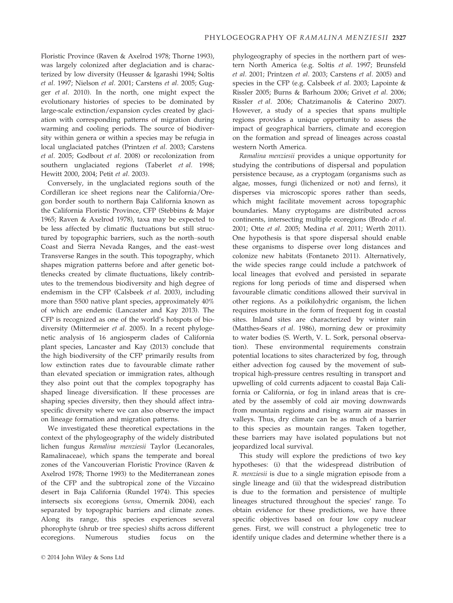Floristic Province (Raven & Axelrod 1978; Thorne 1993), was largely colonized after deglaciation and is characterized by low diversity (Heusser & Igarashi 1994; Soltis et al. 1997; Nielson et al. 2001; Carstens et al. 2005; Gugger et al. 2010). In the north, one might expect the evolutionary histories of species to be dominated by large-scale extinction/expansion cycles created by glaciation with corresponding patterns of migration during warming and cooling periods. The source of biodiversity within genera or within a species may be refugia in local unglaciated patches (Printzen et al. 2003; Carstens et al. 2005; Godbout et al. 2008) or recolonization from southern unglaciated regions (Taberlet et al. 1998; Hewitt 2000, 2004; Petit et al. 2003).

Conversely, in the unglaciated regions south of the Cordilleran ice sheet regions near the California/Oregon border south to northern Baja California known as the California Floristic Province, CFP (Stebbins & Major 1965; Raven & Axelrod 1978), taxa may be expected to be less affected by climatic fluctuations but still structured by topographic barriers, such as the north–south Coast and Sierra Nevada Ranges, and the east–west Transverse Ranges in the south. This topography, which shapes migration patterns before and after genetic bottlenecks created by climate fluctuations, likely contributes to the tremendous biodiversity and high degree of endemism in the CFP (Calsbeek et al. 2003), including more than 5500 native plant species, approximately 40% of which are endemic (Lancaster and Kay 2013). The CFP is recognized as one of the world's hotspots of biodiversity (Mittermeier et al. 2005). In a recent phylogenetic analysis of 16 angiosperm clades of California plant species, Lancaster and Kay (2013) conclude that the high biodiversity of the CFP primarily results from low extinction rates due to favourable climate rather than elevated speciation or immigration rates, although they also point out that the complex topography has shaped lineage diversification. If these processes are shaping species diversity, then they should affect intraspecific diversity where we can also observe the impact on lineage formation and migration patterns.

We investigated these theoretical expectations in the context of the phylogeography of the widely distributed lichen fungus Ramalina menziesii Taylor (Lecanorales, Ramalinaceae), which spans the temperate and boreal zones of the Vancouverian Floristic Province (Raven & Axelrod 1978; Thorne 1993) to the Mediterranean zones of the CFP and the subtropical zone of the Vizcaino desert in Baja California (Rundel 1974). This species intersects six ecoregions (sensu, Omernik 2004), each separated by topographic barriers and climate zones. Along its range, this species experiences several phorophyte (shrub or tree species) shifts across different ecoregions. Numerous studies focus on the

phylogeography of species in the northern part of western North America (e.g. Soltis et al. 1997; Brunsfeld et al. 2001; Printzen et al. 2003; Carstens et al. 2005) and species in the CFP (e.g. Calsbeek et al. 2003; Lapointe & Rissler 2005; Burns & Barhoum 2006; Grivet et al. 2006; Rissler et al. 2006; Chatzimanolis & Caterino 2007). However, a study of a species that spans multiple regions provides a unique opportunity to assess the impact of geographical barriers, climate and ecoregion on the formation and spread of lineages across coastal western North America.

Ramalina menziesii provides a unique opportunity for studying the contributions of dispersal and population persistence because, as a cryptogam (organisms such as algae, mosses, fungi (lichenized or not) and ferns), it disperses via microscopic spores rather than seeds, which might facilitate movement across topographic boundaries. Many cryptogams are distributed across continents, intersecting multiple ecoregions (Brodo et al. 2001; Otte et al. 2005; Medina et al. 2011; Werth 2011). One hypothesis is that spore dispersal should enable these organisms to disperse over long distances and colonize new habitats (Fontaneto 2011). Alternatively, the wide species range could include a patchwork of local lineages that evolved and persisted in separate regions for long periods of time and dispersed when favourable climatic conditions allowed their survival in other regions. As a poikilohydric organism, the lichen requires moisture in the form of frequent fog in coastal sites. Inland sites are characterized by winter rain (Matthes-Sears et al. 1986), morning dew or proximity to water bodies (S. Werth, V. L. Sork, personal observation). These environmental requirements constrain potential locations to sites characterized by fog, through either advection fog caused by the movement of subtropical high-pressure centres resulting in transport and upwelling of cold currents adjacent to coastal Baja California or California, or fog in inland areas that is created by the assembly of cold air moving downwards from mountain regions and rising warm air masses in valleys. Thus, dry climate can be as much of a barrier to this species as mountain ranges. Taken together, these barriers may have isolated populations but not jeopardized local survival.

This study will explore the predictions of two key hypotheses: (i) that the widespread distribution of R. menziesii is due to a single migration episode from a single lineage and (ii) that the widespread distribution is due to the formation and persistence of multiple lineages structured throughout the species' range. To obtain evidence for these predictions, we have three specific objectives based on four low copy nuclear genes. First, we will construct a phylogenetic tree to identify unique clades and determine whether there is a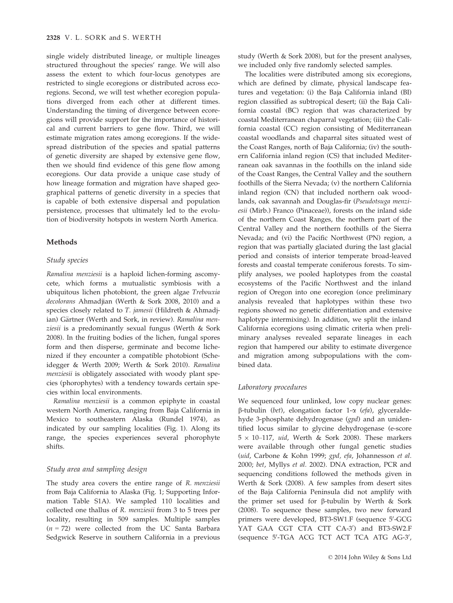single widely distributed lineage, or multiple lineages structured throughout the species' range. We will also assess the extent to which four-locus genotypes are restricted to single ecoregions or distributed across ecoregions. Second, we will test whether ecoregion populations diverged from each other at different times. Understanding the timing of divergence between ecoregions will provide support for the importance of historical and current barriers to gene flow. Third, we will estimate migration rates among ecoregions. If the widespread distribution of the species and spatial patterns of genetic diversity are shaped by extensive gene flow, then we should find evidence of this gene flow among ecoregions. Our data provide a unique case study of how lineage formation and migration have shaped geographical patterns of genetic diversity in a species that is capable of both extensive dispersal and population persistence, processes that ultimately led to the evolution of biodiversity hotspots in western North America.

## Methods

## Study species

Ramalina menziesii is a haploid lichen-forming ascomycete, which forms a mutualistic symbiosis with a ubiquitous lichen photobiont, the green algae Trebouxia decolorans Ahmadjian (Werth & Sork 2008, 2010) and a species closely related to T. jamesii (Hildreth & Ahmadjian) Gärtner (Werth and Sork, in review). Ramalina menziesii is a predominantly sexual fungus (Werth & Sork 2008). In the fruiting bodies of the lichen, fungal spores form and then disperse, germinate and become lichenized if they encounter a compatible photobiont (Scheidegger & Werth 2009; Werth & Sork 2010). Ramalina menziesii is obligately associated with woody plant species (phorophytes) with a tendency towards certain species within local environments.

Ramalina menziesii is a common epiphyte in coastal western North America, ranging from Baja California in Mexico to southeastern Alaska (Rundel 1974), as indicated by our sampling localities (Fig. 1). Along its range, the species experiences several phorophyte shifts.

## Study area and sampling design

The study area covers the entire range of R. menziesii from Baja California to Alaska (Fig. 1; Supporting Information Table S1A). We sampled 110 localities and collected one thallus of R. menziesii from 3 to 5 trees per locality, resulting in 509 samples. Multiple samples  $(n = 72)$  were collected from the UC Santa Barbara Sedgwick Reserve in southern California in a previous study (Werth & Sork 2008), but for the present analyses, we included only five randomly selected samples.

The localities were distributed among six ecoregions, which are defined by climate, physical landscape features and vegetation: (i) the Baja California inland (BI) region classified as subtropical desert; (ii) the Baja California coastal (BC) region that was characterized by coastal Mediterranean chaparral vegetation; (iii) the California coastal (CC) region consisting of Mediterranean coastal woodlands and chaparral sites situated west of the Coast Ranges, north of Baja California; (iv) the southern California inland region (CS) that included Mediterranean oak savannas in the foothills on the inland side of the Coast Ranges, the Central Valley and the southern foothills of the Sierra Nevada; (v) the northern California inland region (CN) that included northern oak woodlands, oak savannah and Douglas-fir (Pseudotsuga menziesii (Mirb.) Franco (Pinaceae)), forests on the inland side of the northern Coast Ranges, the northern part of the Central Valley and the northern foothills of the Sierra Nevada; and (vi) the Pacific Northwest (PN) region, a region that was partially glaciated during the last glacial period and consists of interior temperate broad-leaved forests and coastal temperate coniferous forests. To simplify analyses, we pooled haplotypes from the coastal ecosystems of the Pacific Northwest and the inland region of Oregon into one ecoregion (once preliminary analysis revealed that haplotypes within these two regions showed no genetic differentiation and extensive haplotype intermixing). In addition, we split the inland California ecoregions using climatic criteria when preliminary analyses revealed separate lineages in each region that hampered our ability to estimate divergence and migration among subpopulations with the combined data.

#### Laboratory procedures

We sequenced four unlinked, low copy nuclear genes:  $\beta$ -tubulin (bet), elongation factor 1- $\alpha$  (efa), glyceraldehyde 3-phosphate dehydrogenase (gpd) and an unidentified locus similar to glycine dehydrogenase (e-score  $5 \times 10$ –117, uid, Werth & Sork 2008). These markers were available through other fungal genetic studies (uid, Carbone & Kohn 1999; gpd, efa, Johannesson et al. 2000; bet, Myllys et al. 2002). DNA extraction, PCR and sequencing conditions followed the methods given in Werth & Sork (2008). A few samples from desert sites of the Baja California Peninsula did not amplify with the primer set used for  $\beta$ -tubulin by Werth & Sork (2008). To sequence these samples, two new forward primers were developed, BT3-SW1.F (sequence 5'-GCG YAT GAA CGT CTA CTT CA-3') and BT3-SW2.F (sequence 5'-TGA ACG TCT ACT TCA ATG AG-3',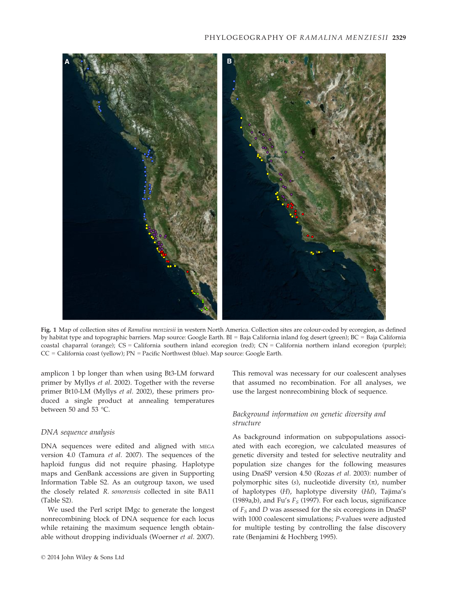## PHYLOGEOGRAPHY OF RAMALINA MENZIESII 2329



Fig. 1 Map of collection sites of Ramalina menziesii in western North America. Collection sites are colour-coded by ecoregion, as defined by habitat type and topographic barriers. Map source: Google Earth. BI = Baja California inland fog desert (green); BC = Baja California coastal chaparral (orange); CS = California southern inland ecoregion (red); CN = California northern inland ecoregion (purple); CC = California coast (yellow); PN = Pacific Northwest (blue). Map source: Google Earth.

amplicon 1 bp longer than when using Bt3-LM forward primer by Myllys et al. 2002). Together with the reverse primer Bt10-LM (Myllys et al. 2002), these primers produced a single product at annealing temperatures between 50 and 53 °C.

## DNA sequence analysis

DNA sequences were edited and aligned with MEGA version 4.0 (Tamura et al. 2007). The sequences of the haploid fungus did not require phasing. Haplotype maps and GenBank accessions are given in Supporting Information Table S2. As an outgroup taxon, we used the closely related R. sonorensis collected in site BA11 (Table S2).

We used the Perl script IMgc to generate the longest nonrecombining block of DNA sequence for each locus while retaining the maximum sequence length obtainable without dropping individuals (Woerner et al. 2007).

This removal was necessary for our coalescent analyses that assumed no recombination. For all analyses, we use the largest nonrecombining block of sequence.

# Background information on genetic diversity and structure

As background information on subpopulations associated with each ecoregion, we calculated measures of genetic diversity and tested for selective neutrality and population size changes for the following measures using DnaSP version 4.50 (Rozas et al. 2003): number of polymorphic sites (s), nucleotide diversity  $(\pi)$ , number of haplotypes (H), haplotype diversity (Hd), Tajima's (1989a,b), and Fu's  $F_S$  (1997). For each locus, significance of  $F_S$  and  $D$  was assessed for the six ecoregions in DnaSP with 1000 coalescent simulations; P-values were adjusted for multiple testing by controlling the false discovery rate (Benjamini & Hochberg 1995).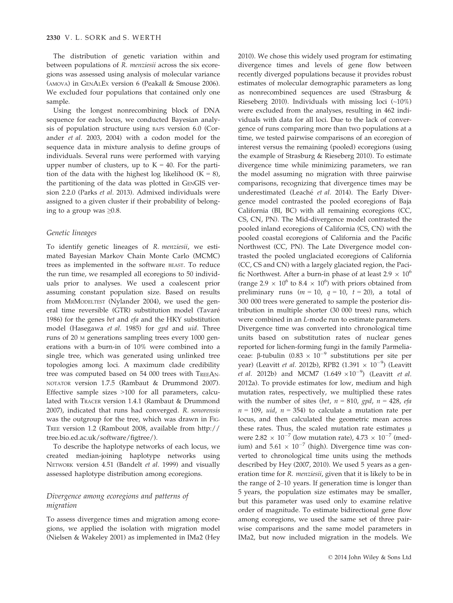The distribution of genetic variation within and between populations of R. menziesii across the six ecoregions was assessed using analysis of molecular variance (AMOVA) in GENALEX version 6 (Peakall & Smouse 2006). We excluded four populations that contained only one sample.

Using the longest nonrecombining block of DNA sequence for each locus, we conducted Bayesian analysis of population structure using BAPS version 6.0 (Corander et al. 2003, 2004) with a codon model for the sequence data in mixture analysis to define groups of individuals. Several runs were performed with varying upper number of clusters, up to  $K = 40$ . For the partition of the data with the highest log likelihood  $(K = 8)$ , the partitioning of the data was plotted in GENGIS version 2.2.0 (Parks et al. 2013). Admixed individuals were assigned to a given cluster if their probability of belonging to a group was  $\geq 0.8$ .

#### Genetic lineages

To identify genetic lineages of R. menziesii, we estimated Bayesian Markov Chain Monte Carlo (MCMC) trees as implemented in the software BEAST. To reduce the run time, we resampled all ecoregions to 50 individuals prior to analyses. We used a coalescent prior assuming constant population size. Based on results from MRMODELTEST (Nylander 2004), we used the general time reversible (GTR) substitution model (Tavaré 1986) for the genes bet and efa and the HKY substitution model (Hasegawa et al. 1985) for gpd and uid. Three runs of 20 <sup>M</sup> generations sampling trees every 1000 generations with a burn-in of 10% were combined into a single tree, which was generated using unlinked tree topologies among loci. A maximum clade credibility tree was computed based on 54 000 trees with TREEAN-NOTATOR version 1.7.5 (Rambaut & Drummond 2007). Effective sample sizes >100 for all parameters, calculated with TRACER version 1.4.1 (Rambaut & Drummond 2007), indicated that runs had converged. R. sonorensis was the outgroup for the tree, which was drawn in FIG-TREE version 1.2 (Rambout 2008, available from http:// tree.bio.ed.ac.uk/software/figtree/).

To describe the haplotype networks of each locus, we created median-joining haplotype networks using NETWORK version 4.51 (Bandelt et al. 1999) and visually assessed haplotype distribution among ecoregions.

# Divergence among ecoregions and patterns of migration

To assess divergence times and migration among ecoregions, we applied the isolation with migration model (Nielsen & Wakeley 2001) as implemented in IMa2 (Hey

2010). We chose this widely used program for estimating divergence times and levels of gene flow between recently diverged populations because it provides robust estimates of molecular demographic parameters as long as nonrecombined sequences are used (Strasburg & Rieseberg 2010). Individuals with missing loci (~10%) were excluded from the analyses, resulting in 462 individuals with data for all loci. Due to the lack of convergence of runs comparing more than two populations at a time, we tested pairwise comparisons of an ecoregion of interest versus the remaining (pooled) ecoregions (using the example of Strasburg & Rieseberg 2010). To estimate divergence time while minimizing parameters, we ran the model assuming no migration with three pairwise comparisons, recognizing that divergence times may be underestimated (Leaché et al. 2014). The Early Divergence model contrasted the pooled ecoregions of Baja California (BI, BC) with all remaining ecoregions (CC, CS, CN, PN). The Mid-divergence model contrasted the pooled inland ecoregions of California (CS, CN) with the pooled coastal ecoregions of California and the Pacific Northwest (CC, PN). The Late Divergence model contrasted the pooled unglaciated ecoregions of California (CC, CS and CN) with a largely glaciated region, the Pacific Northwest. After a burn-in phase of at least  $2.9 \times 10^6$ (range 2.9  $\times$  10<sup>6</sup> to 8.4  $\times$  10<sup>6</sup>) with priors obtained from preliminary runs ( $m = 10$ ,  $q = 10$ ,  $t = 20$ ), a total of 300 000 trees were generated to sample the posterior distribution in multiple shorter (30 000 trees) runs, which were combined in an L-mode run to estimate parameters. Divergence time was converted into chronological time units based on substitution rates of nuclear genes reported for lichen-forming fungi in the family Parmeliaceae:  $\beta$ -tubulin (0.83  $\times$  10<sup>-9</sup> substitutions per site per year) (Leavitt et al. 2012b), RPB2  $(1.391 \times 10^{-9})$  (Leavitt *et al.* 2012b) and MCM7  $(1.649 \times 10^{-9})$  (Leavitt *et al.* 2012a). To provide estimates for low, medium and high mutation rates, respectively, we multiplied these rates with the number of sites (bet,  $n = 810$ , gpd,  $n = 428$ , efa  $n = 109$ , uid,  $n = 354$ ) to calculate a mutation rate per locus, and then calculated the geometric mean across these rates. Thus, the scaled mutation rate estimates  $\mu$ were 2.82  $\times$  10<sup>-7</sup> (low mutation rate), 4.73  $\times$  10<sup>-7</sup> (medium) and  $5.61 \times 10^{-7}$  (high). Divergence time was converted to chronological time units using the methods described by Hey (2007, 2010). We used 5 years as a generation time for R. menziesii, given that it is likely to be in the range of 2–10 years. If generation time is longer than 5 years, the population size estimates may be smaller, but this parameter was used only to examine relative order of magnitude. To estimate bidirectional gene flow among ecoregions, we used the same set of three pairwise comparisons and the same model parameters in IMa2, but now included migration in the models. We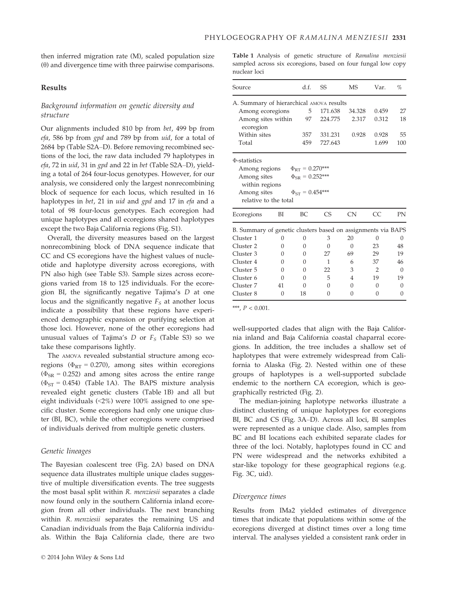then inferred migration rate (M), scaled population size  $(\theta)$  and divergence time with three pairwise comparisons.

## Results

# Background information on genetic diversity and structure

Our alignments included 810 bp from bet, 499 bp from efa, 586 bp from gpd and 789 bp from uid, for a total of 2684 bp (Table S2A–D). Before removing recombined sections of the loci, the raw data included 79 haplotypes in efa, 72 in uid, 31 in gpd and 22 in bet (Table S2A–D), yielding a total of 264 four-locus genotypes. However, for our analysis, we considered only the largest nonrecombining block of sequence for each locus, which resulted in 16 haplotypes in bet, 21 in uid and gpd and 17 in efa and a total of 98 four-locus genotypes. Each ecoregion had unique haplotypes and all ecoregions shared haplotypes except the two Baja California regions (Fig. S1).

Overall, the diversity measures based on the largest nonrecombining block of DNA sequence indicate that CC and CS ecoregions have the highest values of nucleotide and haplotype diversity across ecoregions, with PN also high (see Table S3). Sample sizes across ecoregions varied from 18 to 125 individuals. For the ecoregion BI, the significantly negative Tajima's D at one locus and the significantly negative  $F<sub>S</sub>$  at another locus indicate a possibility that these regions have experienced demographic expansion or purifying selection at those loci. However, none of the other ecoregions had unusual values of Tajima's  $D$  or  $F_S$  (Table S3) so we take these comparisons lightly.

The AMOVA revealed substantial structure among ecoregions ( $\Phi_{RT}$  = 0.270), among sites within ecoregions  $(\Phi_{SR} = 0.252)$  and among sites across the entire range  $(\Phi_{ST} = 0.454)$  (Table 1A). The BAPS mixture analysis revealed eight genetic clusters (Table 1B) and all but eight individuals (<2%) were 100% assigned to one specific cluster. Some ecoregions had only one unique cluster (BI, BC), while the other ecoregions were comprised of individuals derived from multiple genetic clusters.

#### Genetic lineages

The Bayesian coalescent tree (Fig. 2A) based on DNA sequence data illustrates multiple unique clades suggestive of multiple diversification events. The tree suggests the most basal split within R. menziesii separates a clade now found only in the southern California inland ecoregion from all other individuals. The next branching within R. menziesii separates the remaining US and Canadian individuals from the Baja California individuals. Within the Baja California clade, there are two Table 1 Analysis of genetic structure of Ramalina menziesii sampled across six ecoregions, based on four fungal low copy nuclear loci

| Source                                                       | d.f.     | SS                     | <b>MS</b>      | Var.           | %              |           |
|--------------------------------------------------------------|----------|------------------------|----------------|----------------|----------------|-----------|
| A. Summary of hierarchical AMOVA results                     |          |                        |                |                |                |           |
| Among ecoregions                                             | 5        | 171.638                | 34.328         | 0.459          | 27             |           |
| Among sites within<br>ecoregion                              | 97       | 224.775                | 2.317          | 0.312          | 18             |           |
| Within sites                                                 |          | 357                    | 331.231        | 0.928          | 0.928          | 55        |
| Total                                                        |          | 459                    | 727.643        |                | 1.699          | 100       |
| Φ-statistics                                                 |          |                        |                |                |                |           |
| Among regions                                                |          | $\Phi_{RT} = 0.270***$ |                |                |                |           |
| Among sites                                                  |          | $\Phi_{SR} = 0.252***$ |                |                |                |           |
| within regions                                               |          |                        |                |                |                |           |
| Among sites                                                  |          | $\Phi_{ST} = 0.454***$ |                |                |                |           |
| relative to the total                                        |          |                        |                |                |                |           |
| Ecoregions                                                   | BI       | BC.                    | C <sub>S</sub> | CN             | CC.            | <b>PN</b> |
| B. Summary of genetic clusters based on assignments via BAPS |          |                        |                |                |                |           |
| Cluster 1                                                    | 0        | $\Omega$               | 3              | 20             | $\Omega$       | $\theta$  |
| Cluster <sub>2</sub>                                         | $\Omega$ | $\Omega$               | $\Omega$       | $\Omega$       | 23             | 48        |
| Cluster 3                                                    | 0        | $\Omega$               | 27             | 69             | 29             | 19        |
| Cluster 4                                                    | $\Omega$ | $\Omega$               | $\mathbf{1}$   | 6              | 37             | 46        |
| Cluster 5                                                    | 0        | $\Omega$               | 22             | 3              | $\overline{2}$ | $\Omega$  |
| Cluster 6                                                    | 0        | $\Omega$               | 5              | $\overline{4}$ | 19             | 19        |
| Cluster 7                                                    | 41       | $\Omega$               | 0              | $\Omega$       | $\Omega$       | $\Omega$  |
| Cluster 8                                                    | $\Omega$ | 18                     | $\Omega$       | $\Omega$       | 0              | $\Omega$  |
|                                                              |          |                        |                |                |                |           |

\*\*\*,  $P < 0.001$ .

well-supported clades that align with the Baja California inland and Baja California coastal chaparral ecoregions. In addition, the tree includes a shallow set of haplotypes that were extremely widespread from California to Alaska (Fig. 2). Nested within one of these groups of haplotypes is a well-supported subclade endemic to the northern CA ecoregion, which is geographically restricted (Fig. 2).

The median-joining haplotype networks illustrate a distinct clustering of unique haplotypes for ecoregions BI, BC and CS (Fig. 3A–D). Across all loci, BI samples were represented as a unique clade. Also, samples from BC and BI locations each exhibited separate clades for three of the loci. Notably, haplotypes found in CC and PN were widespread and the networks exhibited a star-like topology for these geographical regions (e.g. Fig. 3C, uid).

## Divergence times

Results from IMa2 yielded estimates of divergence times that indicate that populations within some of the ecoregions diverged at distinct times over a long time interval. The analyses yielded a consistent rank order in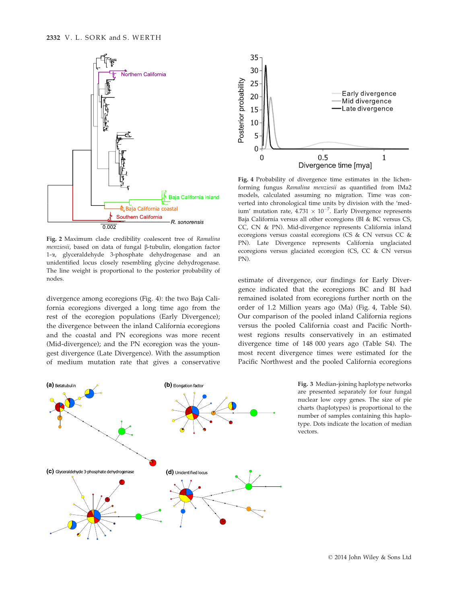

Fig. 2 Maximum clade credibility coalescent tree of Ramalina menziesii, based on data of fungal ß-tubulin, elongation factor 1-a, glyceraldehyde 3-phosphate dehydrogenase and an unidentified locus closely resembling glycine dehydrogenase. The line weight is proportional to the posterior probability of nodes.

divergence among ecoregions (Fig. 4): the two Baja California ecoregions diverged a long time ago from the rest of the ecoregion populations (Early Divergence); the divergence between the inland California ecoregions and the coastal and PN ecoregions was more recent (Mid-divergence); and the PN ecoregion was the youngest divergence (Late Divergence). With the assumption of medium mutation rate that gives a conservative



Fig. 4 Probability of divergence time estimates in the lichenforming fungus Ramalina menziesii as quantified from IMa2 models, calculated assuming no migration. Time was converted into chronological time units by division with the 'medium' mutation rate,  $4.731 \times 10^{-7}$ . Early Divergence represents Baja California versus all other ecoregions (BI & BC versus CS, CC, CN & PN). Mid-divergence represents California inland ecoregions versus coastal ecoregions (CS & CN versus CC & PN). Late Divergence represents California unglaciated ecoregions versus glaciated ecoregion (CS, CC & CN versus PN).

estimate of divergence, our findings for Early Divergence indicated that the ecoregions BC and BI had remained isolated from ecoregions further north on the order of 1.2 Million years ago (Ma) (Fig. 4, Table S4). Our comparison of the pooled inland California regions versus the pooled California coast and Pacific Northwest regions results conservatively in an estimated divergence time of 148 000 years ago (Table S4). The most recent divergence times were estimated for the Pacific Northwest and the pooled California ecoregions



Fig. 3 Median-joining haplotype networks are presented separately for four fungal nuclear low copy genes. The size of pie charts (haplotypes) is proportional to the number of samples containing this haplotype. Dots indicate the location of median vectors.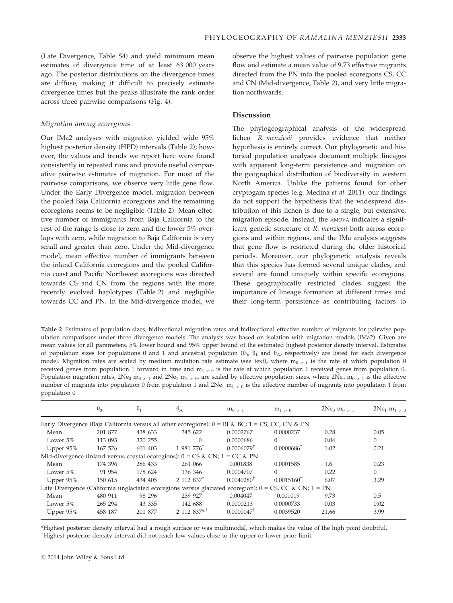(Late Divergence, Table S4) and yield minimum mean estimates of divergence time of at least 63 000 years ago. The posterior distributions on the divergence times are diffuse, making it difficult to precisely estimate divergence times but the peaks illustrate the rank order across three pairwise comparisons (Fig. 4).

## Migration among ecoregions

Our IMa2 analyses with migration yielded wide 95% highest posterior density (HPD) intervals (Table 2); however, the values and trends we report here were found consistently in repeated runs and provide useful comparative pairwise estimates of migration. For most of the pairwise comparisons, we observe very little gene flow. Under the Early Divergence model, migration between the pooled Baja California ecoregions and the remaining ecoregions seems to be negligible (Table 2). Mean effective number of immigrants from Baja California to the rest of the range is close to zero and the lower 5% overlaps with zero, while migration to Baja California is very small and greater than zero. Under the Mid-divergence model, mean effective number of immigrants between the inland California ecoregions and the pooled California coast and Pacific Northwest ecoregions was directed towards CS and CN from the regions with the more recently evolved haplotypes (Table 2) and negligible towards CC and PN. In the Mid-divergence model, we

observe the highest values of pairwise population gene flow and estimate a mean value of 9.73 effective migrants directed from the PN into the pooled ecoregions CS, CC and CN (Mid-divergence, Table 2), and very little migration northwards.

# Discussion

The phylogeographical analysis of the widespread lichen R. menziesii provides evidence that neither hypothesis is entirely correct. Our phylogenetic and historical population analyses document multiple lineages with apparent long-term persistence and migration on the geographical distribution of biodiversity in western North America. Unlike the patterns found for other cryptogam species (e.g. Medina et al. 2011), our findings do not support the hypothesis that the widespread distribution of this lichen is due to a single, but extensive, migration episode. Instead, the AMOVA indicates a significant genetic structure of R. menziesii both across ecoregions and within regions, and the IMa analysis suggests that gene flow is restricted during the older historical periods. Moreover, our phylogenetic analysis reveals that this species has formed several unique clades, and several are found uniquely within specific ecoregions. These geographically restricted clades suggest the importance of lineage formation at different times and their long-term persistence as contributing factors to

Table 2 Estimates of population sizes, bidirectional migration rates and bidirectional effective number of migrants for pairwise population comparisons under three divergence models. The analysis was based on isolation with migration models (IMa2). Given are mean values for all parameters, 5% lower bound and 95% upper bound of the estimated highest posterior density interval. Estimates of population sizes for populations 0 and 1 and ancestral population  $(\theta_0, \theta_1$  and  $\theta_{A}$ , respectively) are listed for each divergence model. Migration rates are scaled by medium mutation rate estimate (see text), where  $m_{0>1}$  is the rate at which population 0 received genes from population 1 forward in time and  $m<sub>1>0</sub>$  is the rate at which population 1 received genes from population 0. Population migration rates,  $2Ne_0 m_0 > 1$  and  $2Ne_1 m_1 > 0$ , are scaled by effective population sizes, where  $2Ne_0 m_0 > 1$  is the effective number of migrants into population 0 from population 1 and  $2Ne_1 m_1 > 0$  is the effective number of migrants into population 1 from population 0

|              | $\theta_0$ | $\theta_1$ | $\theta_A$                                                                                                 | $m_0 > 1$                | $m_1 > 0$             | $2Ne_0$ $m_0$ $> 1$ | $2Ne_1 m_1 > 0$ |
|--------------|------------|------------|------------------------------------------------------------------------------------------------------------|--------------------------|-----------------------|---------------------|-----------------|
|              |            |            | Early Divergence (Baja California versus all other ecoregions): $0 = BI \& BC$ ; $1 = CS$ , CC, CN & PN    |                          |                       |                     |                 |
| Mean         | 201 877    | 438 633    | 345 622                                                                                                    | 0.0002767                | 0.0000237             | 0.28                | 0.05            |
| Lower $5\%$  | 113 093    | 320 255    | $\Omega$                                                                                                   | 0.0000686                | $\Omega$              | 0.04                | $\Omega$        |
| Upper $95\%$ | 167 526    | 601 403    | 1 981 776 <sup>†</sup>                                                                                     | $0.0006079$ <sup>†</sup> | $0.0000686^{\dagger}$ | 1.02                | 0.21            |
|              |            |            | Mid-divergence (Inland versus coastal ecoregions): $0 = CS & CN$ ; $1 = CC & PN$                           |                          |                       |                     |                 |
| Mean         | 174 396    | 286 433    | 261 066                                                                                                    | 0.001838                 | 0.0001585             | 1.6                 | 0.23            |
| Lower 5%     | 91 954     | 178 624    | 136 346                                                                                                    | 0.0004707                | $\Omega$              | 0.22                | $\Omega$        |
| Upper $95\%$ | 150 615    | 434 405    | $2.112.837^{\dagger}$                                                                                      | $0.0040280^{\dagger}$    | $0.0015160^{\dagger}$ | 6.07                | 3.29            |
|              |            |            | Late Divergence (California unglaciated ecoregions versus glaciated ecoregion): $0 = CS$ , CC & CN; 1 = PN |                          |                       |                     |                 |
| Mean         | 480 911    | 98 296     | 239 927                                                                                                    | 0.004047                 | 0.001019              | 9.73                | 0.5             |
| Lower $5\%$  | 265 294    | 43 335     | 142 688                                                                                                    | 0.0000213                | 0.0000733             | 0.03                | 0.02            |
| Upper $95\%$ | 458 187    | 201 877    | $2112837**$                                                                                                | $0.0000047^{\dagger}$    | $0.0039520^{\dagger}$ | 21.66               | 3.99            |

\*Highest posterior density interval had a rough surface or was multimodal, which makes the value of the high point doubtful. † Highest posterior density interval did not reach low values close to the upper or lower prior limit.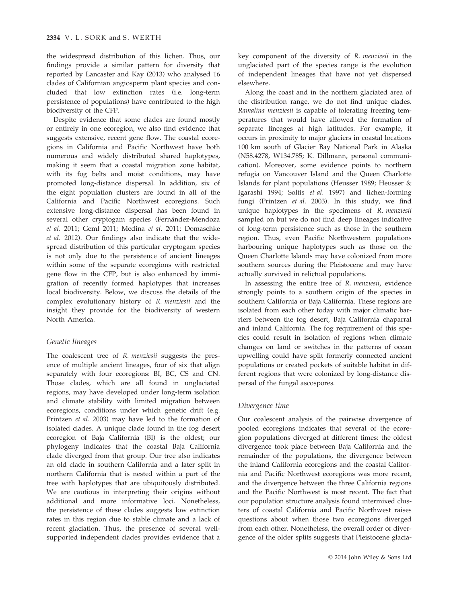the widespread distribution of this lichen. Thus, our findings provide a similar pattern for diversity that reported by Lancaster and Kay (2013) who analysed 16 clades of Californian angiosperm plant species and concluded that low extinction rates (i.e. long-term persistence of populations) have contributed to the high biodiversity of the CFP.

Despite evidence that some clades are found mostly or entirely in one ecoregion, we also find evidence that suggests extensive, recent gene flow. The coastal ecoregions in California and Pacific Northwest have both numerous and widely distributed shared haplotypes, making it seem that a coastal migration zone habitat, with its fog belts and moist conditions, may have promoted long-distance dispersal. In addition, six of the eight population clusters are found in all of the California and Pacific Northwest ecoregions. Such extensive long-distance dispersal has been found in several other cryptogam species (Fernández-Mendoza et al. 2011; Geml 2011; Medina et al. 2011; Domaschke et al. 2012). Our findings also indicate that the widespread distribution of this particular cryptogam species is not only due to the persistence of ancient lineages within some of the separate ecoregions with restricted gene flow in the CFP, but is also enhanced by immigration of recently formed haplotypes that increases local biodiversity. Below, we discuss the details of the complex evolutionary history of R. menziesii and the insight they provide for the biodiversity of western North America.

## Genetic lineages

The coalescent tree of R. menziesii suggests the presence of multiple ancient lineages, four of six that align separately with four ecoregions: BI, BC, CS and CN. Those clades, which are all found in unglaciated regions, may have developed under long-term isolation and climate stability with limited migration between ecoregions, conditions under which genetic drift (e.g. Printzen et al. 2003) may have led to the formation of isolated clades. A unique clade found in the fog desert ecoregion of Baja California (BI) is the oldest; our phylogeny indicates that the coastal Baja California clade diverged from that group. Our tree also indicates an old clade in southern California and a later split in northern California that is nested within a part of the tree with haplotypes that are ubiquitously distributed. We are cautious in interpreting their origins without additional and more informative loci. Nonetheless, the persistence of these clades suggests low extinction rates in this region due to stable climate and a lack of recent glaciation. Thus, the presence of several wellsupported independent clades provides evidence that a

key component of the diversity of R. menziesii in the unglaciated part of the species range is the evolution of independent lineages that have not yet dispersed elsewhere.

Along the coast and in the northern glaciated area of the distribution range, we do not find unique clades. Ramalina menziesii is capable of tolerating freezing temperatures that would have allowed the formation of separate lineages at high latitudes. For example, it occurs in proximity to major glaciers in coastal locations 100 km south of Glacier Bay National Park in Alaska (N58.4278, W134.785; K. Dillmann, personal communication). Moreover, some evidence points to northern refugia on Vancouver Island and the Queen Charlotte Islands for plant populations (Heusser 1989; Heusser & Igarashi 1994; Soltis et al. 1997) and lichen-forming fungi (Printzen et al. 2003). In this study, we find unique haplotypes in the specimens of R. menziesii sampled on but we do not find deep lineages indicative of long-term persistence such as those in the southern region. Thus, even Pacific Northwestern populations harbouring unique haplotypes such as those on the Queen Charlotte Islands may have colonized from more southern sources during the Pleistocene and may have actually survived in relictual populations.

In assessing the entire tree of R. menziesii, evidence strongly points to a southern origin of the species in southern California or Baja California. These regions are isolated from each other today with major climatic barriers between the fog desert, Baja California chaparral and inland California. The fog requirement of this species could result in isolation of regions when climate changes on land or switches in the patterns of ocean upwelling could have split formerly connected ancient populations or created pockets of suitable habitat in different regions that were colonized by long-distance dispersal of the fungal ascospores.

## Divergence time

Our coalescent analysis of the pairwise divergence of pooled ecoregions indicates that several of the ecoregion populations diverged at different times: the oldest divergence took place between Baja California and the remainder of the populations, the divergence between the inland California ecoregions and the coastal California and Pacific Northwest ecoregions was more recent, and the divergence between the three California regions and the Pacific Northwest is most recent. The fact that our population structure analysis found intermixed clusters of coastal California and Pacific Northwest raises questions about when those two ecoregions diverged from each other. Nonetheless, the overall order of divergence of the older splits suggests that Pleistocene glacia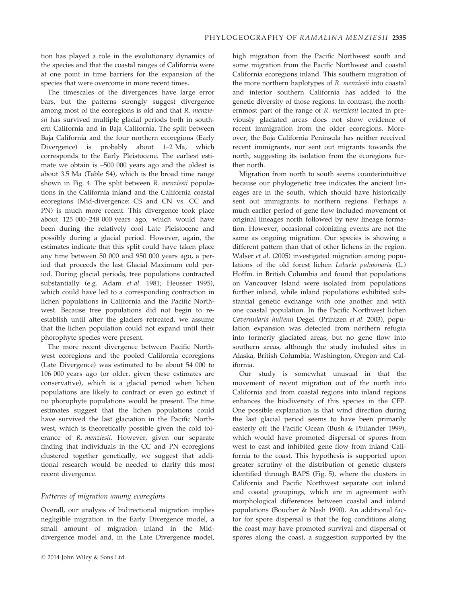tion has played a role in the evolutionary dynamics of the species and that the coastal ranges of California were at one point in time barriers for the expansion of the species that were overcome in more recent times.

The timescales of the divergences have large error bars, but the patterns strongly suggest divergence among most of the ecoregions is old and that R. menziesii has survived multiple glacial periods both in southern California and in Baja California. The split between Baja California and the four northern ecoregions (Early Divergence) is probably about 1–2 Ma, which corresponds to the Early Pleistocene. The earliest estimate we obtain is ~500 000 years ago and the oldest is about 3.5 Ma (Table S4), which is the broad time range shown in Fig. 4. The split between R. menziesii populations in the California inland and the California coastal ecoregions (Mid-divergence: CS and CN vs. CC and PN) is much more recent. This divergence took place about 125 000–248 000 years ago, which would have been during the relatively cool Late Pleistocene and possibly during a glacial period. However, again, the estimates indicate that this split could have taken place any time between 50 000 and 950 000 years ago, a period that proceeds the last Glacial Maximum cold period. During glacial periods, tree populations contracted substantially (e.g. Adam et al. 1981; Heusser 1995), which could have led to a corresponding contraction in lichen populations in California and the Pacific Northwest. Because tree populations did not begin to reestablish until after the glaciers retreated, we assume that the lichen population could not expand until their phorophyte species were present.

The more recent divergence between Pacific Northwest ecoregions and the pooled California ecoregions (Late Divergence) was estimated to be about 54 000 to 106 000 years ago (or older, given these estimates are conservative), which is a glacial period when lichen populations are likely to contract or even go extinct if no phorophyte populations would be present. The time estimates suggest that the lichen populations could have survived the last glaciation in the Pacific Northwest, which is theoretically possible given the cold tolerance of R. menziesii. However, given our separate finding that individuals in the CC and PN ecoregions clustered together genetically, we suggest that additional research would be needed to clarify this most recent divergence.

## Patterns of migration among ecoregions

Overall, our analysis of bidirectional migration implies negligible migration in the Early Divergence model, a small amount of migration inland in the Middivergence model and, in the Late Divergence model, high migration from the Pacific Northwest south and some migration from the Pacific Northwest and coastal California ecoregions inland. This southern migration of the more northern haplotypes of R. menziesii into coastal and interior southern California has added to the genetic diversity of those regions. In contrast, the northernmost part of the range of R. menziesii located in previously glaciated areas does not show evidence of recent immigration from the older ecoregions. Moreover, the Baja California Peninsula has neither received recent immigrants, nor sent out migrants towards the north, suggesting its isolation from the ecoregions further north.

Migration from north to south seems counterintuitive because our phylogenetic tree indicates the ancient lineages are in the south, which should have historically sent out immigrants to northern regions. Perhaps a much earlier period of gene flow included movement of original lineages north followed by new lineage formation. However, occasional colonizing events are not the same as ongoing migration. Our species is showing a different pattern than that of other lichens in the region. Walser et al. (2005) investigated migration among populations of the old forest lichen Lobaria pulmonaria (L.) Hoffm. in British Columbia and found that populations on Vancouver Island were isolated from populations further inland, while inland populations exhibited substantial genetic exchange with one another and with one coastal population. In the Pacific Northwest lichen Cavernularia hultenii Degel. (Printzen et al. 2003), population expansion was detected from northern refugia into formerly glaciated areas, but no gene flow into southern areas, although the study included sites in Alaska, British Columbia, Washington, Oregon and California.

Our study is somewhat unusual in that the movement of recent migration out of the north into California and from coastal regions into inland regions enhances the biodiversity of this species in the CFP. One possible explanation is that wind direction during the last glacial period seems to have been primarily easterly off the Pacific Ocean (Bush & Philander 1999), which would have promoted dispersal of spores from west to east and inhibited gene flow from inland California to the coast. This hypothesis is supported upon greater scrutiny of the distribution of genetic clusters identified through BAPS (Fig. 5), where the clusters in California and Pacific Northwest separate out inland and coastal groupings, which are in agreement with morphological differences between coastal and inland populations (Boucher & Nash 1990). An additional factor for spore dispersal is that the fog conditions along the coast may have promoted survival and dispersal of spores along the coast, a suggestion supported by the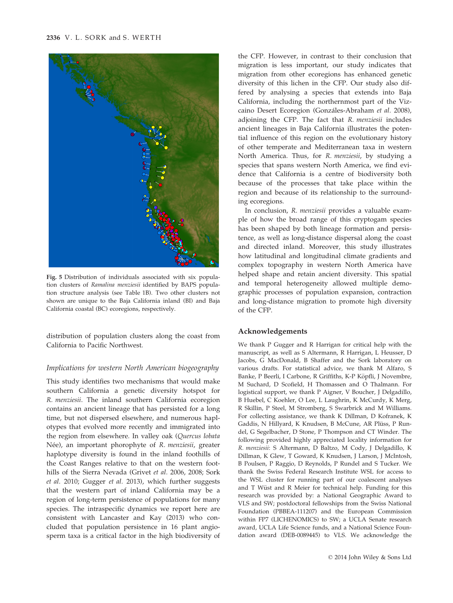

Fig. 5 Distribution of individuals associated with six population clusters of Ramalina menziesii identified by BAPS population structure analysis (see Table 1B). Two other clusters not shown are unique to the Baja California inland (BI) and Baja California coastal (BC) ecoregions, respectively.

distribution of population clusters along the coast from California to Pacific Northwest.

## Implications for western North American biogeography

This study identifies two mechanisms that would make southern California a genetic diversity hotspot for R. menziesii. The inland southern California ecoregion contains an ancient lineage that has persisted for a long time, but not dispersed elsewhere, and numerous haplotypes that evolved more recently and immigrated into the region from elsewhere. In valley oak (Quercus lobata Née), an important phorophyte of R. menziesii, greater haplotype diversity is found in the inland foothills of the Coast Ranges relative to that on the western foothills of the Sierra Nevada (Grivet et al. 2006, 2008; Sork et al. 2010; Gugger et al. 2013), which further suggests that the western part of inland California may be a region of long-term persistence of populations for many species. The intraspecific dynamics we report here are consistent with Lancaster and Kay (2013) who concluded that population persistence in 16 plant angiosperm taxa is a critical factor in the high biodiversity of

the CFP. However, in contrast to their conclusion that migration is less important, our study indicates that migration from other ecoregions has enhanced genetic diversity of this lichen in the CFP. Our study also differed by analysing a species that extends into Baja California, including the northernmost part of the Vizcaino Desert Ecoregion (Gonzáles-Abraham et al. 2008), adjoining the CFP. The fact that R. menziesii includes ancient lineages in Baja California illustrates the potential influence of this region on the evolutionary history of other temperate and Mediterranean taxa in western North America. Thus, for R. menziesii, by studying a species that spans western North America, we find evidence that California is a centre of biodiversity both because of the processes that take place within the region and because of its relationship to the surrounding ecoregions.

In conclusion, R. menziesii provides a valuable example of how the broad range of this cryptogam species has been shaped by both lineage formation and persistence, as well as long-distance dispersal along the coast and directed inland. Moreover, this study illustrates how latitudinal and longitudinal climate gradients and complex topography in western North America have helped shape and retain ancient diversity. This spatial and temporal heterogeneity allowed multiple demographic processes of population expansion, contraction and long-distance migration to promote high diversity of the CFP.

## Acknowledgements

We thank P Gugger and R Harrigan for critical help with the manuscript, as well as S Altermann, R Harrigan, L Heusser, D Jacobs, G MacDonald, B Shaffer and the Sork laboratory on various drafts. For statistical advice, we thank M Alfaro, S Banke, P Beerli, I Carbone, R Griffiths, K-P Köpfli, J Novembre, M Suchard, D Scofield, H Thomassen and O Thalmann. For logistical support, we thank P Aigner, V Boucher, J Delgadillo, B Huebel, C Koehler, O Lee, L Laughrin, K McCurdy, K Merg, R Skillin, P Steel, M Stromberg, S Swarbrick and M Williams. For collecting assistance, we thank K Dillman, D Kofranek, K Gaddis, N Hillyard, K Knudsen, B McCune, AR Plüss, P Rundel, G Segelbacher, D Stone, P Thompson and CT Winder. The following provided highly appreciated locality information for R. menziesii: S Altermann, D Baltzo, M Cody, J Delgadillo, K Dillman, K Glew, T Goward, K Knudsen, J Larson, J McIntosh, B Poulsen, P Raggio, D Reynolds, P Rundel and S Tucker. We thank the Swiss Federal Research Institute WSL for access to the WSL cluster for running part of our coalescent analyses and T Wüst and R Meier for technical help. Funding for this research was provided by: a National Geographic Award to VLS and SW; postdoctoral fellowships from the Swiss National Foundation (PBBEA-111207) and the European Commission within FP7 (LICHENOMICS) to SW; a UCLA Senate research award, UCLA Life Science funds, and a National Science Foundation award (DEB-0089445) to VLS. We acknowledge the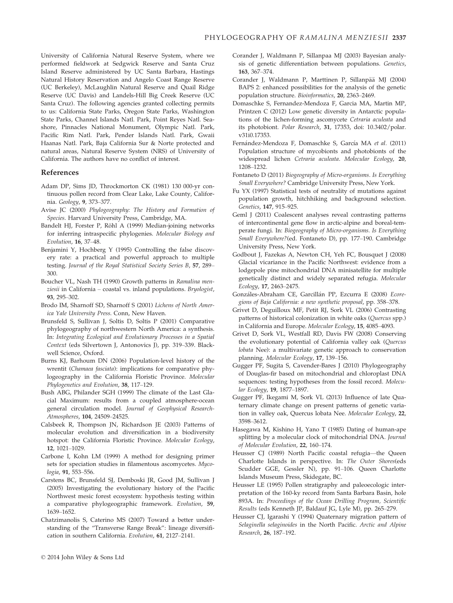University of California Natural Reserve System, where we performed fieldwork at Sedgwick Reserve and Santa Cruz Island Reserve administered by UC Santa Barbara, Hastings Natural History Reservation and Angelo Coast Range Reserve (UC Berkeley), McLaughlin Natural Reserve and Quail Ridge Reserve (UC Davis) and Landels-Hill Big Creek Reserve (UC Santa Cruz). The following agencies granted collecting permits to us: California State Parks, Oregon State Parks, Washington State Parks, Channel Islands Natl. Park, Point Reyes Natl. Seashore, Pinnacles National Monument, Olympic Natl. Park, Pacific Rim Natl. Park, Pender Islands Natl. Park, Gwaii Haanas Natl. Park, Baja California Sur & Norte protected and natural areas, Natural Reserve System (NRS) of University of California. The authors have no conflict of interest.

#### References

- Adam DP, Sims JD, Throckmorton CK (1981) 130 000-yr continuous pollen record from Clear Lake, Lake County, California. Geology, 9, 373–377.
- Avise JC (2000) Phylogeography: The History and Formation of Species. Harvard University Press, Cambridge, MA.
- Bandelt HJ, Forster P, Röhl A (1999) Median-joining networks for inferring intraspecific phylogenies. Molecular Biology and Evolution, 16, 37–48.
- Benjamini Y, Hochberg Y (1995) Controlling the false discovery rate: a practical and powerful approach to multiple testing. Journal of the Royal Statistical Society Series B, 57, 289– 300.
- Boucher VL, Nash TH (1990) Growth patterns in Ramalina menziesii in California – coastal vs. inland populations. Bryologist, 93, 295–302.
- Brodo IM, Sharnoff SD, Sharnoff S (2001) Lichens of North America Yale University Press. Conn, New Haven.
- Brunsfeld S, Sullivan J, Soltis D, Soltis P (2001) Comparative phylogeography of northwestern North America: a synthesis. In: Integrating Ecological and Evolutionary Processes in a Spatial Context (eds Silvertown J, Antonovics J), pp. 319–339. Blackwell Science, Oxford.
- Burns KJ, Barhoum DN (2006) Population-level history of the wrentit (Chamaea fasciata): implications for comparative phylogeography in the California Floristic Province. Molecular Phylogenetics and Evolution, 38, 117–129.
- Bush ABG, Philander SGH (1999) The climate of the Last Glacial Maximum: results from a coupled atmosphere-ocean general circulation model. Journal of Geophysical Research-Atmospheres, 104, 24509–24525.
- Calsbeek R, Thompson JN, Richardson JE (2003) Patterns of molecular evolution and diversification in a biodiversity hotspot: the California Floristic Province. Molecular Ecology, 12, 1021–1029.
- Carbone I, Kohn LM (1999) A method for designing primer sets for speciation studies in filamentous ascomycetes. Mycologia, 91, 553–556.
- Carstens BC, Brunsfeld SJ, Demboski JR, Good JM, Sullivan J (2005) Investigating the evolutionary history of the Pacific Northwest mesic forest ecosystem: hypothesis testing within a comparative phylogeographic framework. Evolution, 59, 1639–1652.
- Chatzimanolis S, Caterino MS (2007) Toward a better understanding of the "Transverse Range Break": lineage diversification in southern California. Evolution, 61, 2127–2141.
- Corander J, Waldmann P, Sillanpaa MJ (2003) Bayesian analysis of genetic differentiation between populations. Genetics, 163, 367–374.
- Corander J, Waldmann P, Marttinen P, Sillanpää MJ (2004) BAPS 2: enhanced possibilities for the analysis of the genetic population structure. Bioinformatics, 20, 2363–2469.
- Domaschke S, Fernandez-Mendoza F, Garcia MA, Martin MP, Printzen C (2012) Low genetic diversity in Antarctic populations of the lichen-forming ascomycete Cetraria aculeata and its photobiont. Polar Research, 31, 17353, doi: 10.3402/polar. v31i0.17353.
- Fernández-Mendoza F, Domaschke S, García MA et al. (2011) Population structure of mycobionts and photobionts of the widespread lichen Cetraria aculeata. Molecular Ecology, 20, 1208–1232.
- Fontaneto D (2011) Biogeography of Micro-organisms. Is Everything Small Everywhere? Cambridge University Press, New York.
- Fu YX (1997) Statistical tests of neutrality of mutations against population growth, hitchhiking and background selection. Genetics, 147, 915–925.
- Geml J (2011) Coalescent analyses reveal contrasting patterns of intercontinental gene flow in arctic-alpine and boreal-temperate fungi. In: Biogeography of Micro-organisms. Is Everything Small Everywhere?(ed. Fontaneto D), pp. 177–190. Cambridge University Press, New York.
- Godbout J, Fazekas A, Newton CH, Yeh FC, Bousquet J (2008) Glacial vicariance in the Pacific Northwest: evidence from a lodgepole pine mitochondrial DNA minisatellite for multiple genetically distinct and widely separated refugia. Molecular Ecology, 17, 2463–2475.
- Gonzáles-Abraham CE, Garcillán PP, Ezcurra E (2008) Ecoregions of Baja California: a new synthetic proposal, pp. 358–378.
- Grivet D, Deguilloux MF, Petit RJ, Sork VL (2006) Contrasting patterns of historical colonization in white oaks (Quercus spp.) in California and Europe. Molecular Ecology, 15, 4085–4093.
- Grivet D, Sork VL, Westfall RD, Davis FW (2008) Conserving the evolutionary potential of California valley oak (Quercus lobata Nee): a multivariate genetic approach to conservation planning. Molecular Ecology, 17, 139–156.
- Gugger PF, Sugita S, Cavender-Bares J (2010) Phylogeography of Douglas-fir based on mitochondrial and chloroplast DNA sequences: testing hypotheses from the fossil record. Molecular Ecology, 19, 1877–1897.
- Gugger PF, Ikegami M, Sork VL (2013) Influence of late Quaternary climate change on present patterns of genetic variation in valley oak, Quercus lobata Nee. Molecular Ecology, 22, 3598–3612.
- Hasegawa M, Kishino H, Yano T (1985) Dating of human-ape splitting by a molecular clock of mitochondrial DNA. Journal of Molecular Evolution, 22, 160–174.
- Heusser CJ (1989) North Pacific coastal refugia—the Queen Charlotte Islands in perspective. In: The Outer Shores(eds Scudder GGE, Gessler N), pp. 91–106. Queen Charlotte Islands Museum Press, Skidegate, BC.
- Heusser LE (1995) Pollen stratigraphy and paleoecologic interpretation of the 160-ky record from Santa Barbara Basin, hole 893A. In: Proceedings of the Ocean Drilling Program, Scientific Results (eds Kenneth JP, Baldauf JG, Lyle M), pp. 265–279.
- Heusser CJ, Igarashi Y (1994) Quaternary migration pattern of Selaginella selaginoides in the North Pacific. Arctic and Alpine Research, 26, 187–192.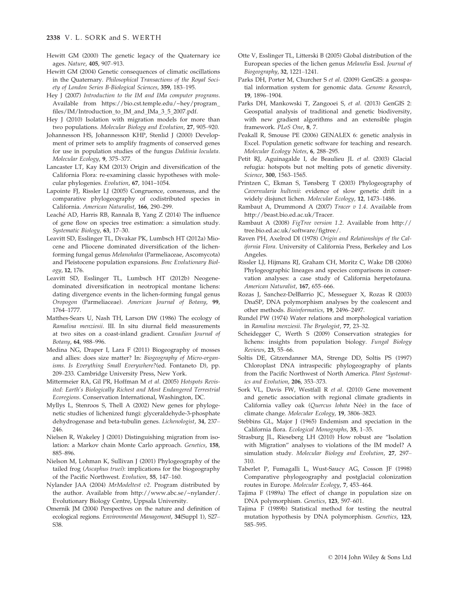- Hewitt GM (2000) The genetic legacy of the Quaternary ice ages. Nature, 405, 907–913.
- Hewitt GM (2004) Genetic consequences of climatic oscillations in the Quaternary. Philosophical Transactions of the Royal Society of London Series B-Biological Sciences, 359, 183–195.
- Hey J (2007) Introduction to the IM and IMa computer programs. Available from https://bio.cst.temple.edu/~hey/program\_ files/IM/Introduction\_to\_IM\_and\_IMa\_3\_5\_2007.pdf.
- Hey J (2010) Isolation with migration models for more than two populations. Molecular Biology and Evolution, 27, 905–920.
- Johannesson HS, Johannesson KHP, Stenlid J (2000) Development of primer sets to amplify fragments of conserved genes for use in population studies of the fungus Daldinia loculata. Molecular Ecology, 9, 375–377.
- Lancaster LT, Kay KM (2013) Origin and diversification of the California Flora: re-examining classic hypotheses with molecular phylogenies. Evolution, 67, 1041–1054.
- Lapointe FJ, Rissler LJ (2005) Congruence, consensus, and the comparative phylogeography of codistributed species in California. American Naturalist, 166, 290–299.
- Leaché AD, Harris RB, Rannala B, Yang Z (2014) The influence of gene flow on species tree estimation: a simulation study. Systematic Biology, 63, 17–30.
- Leavitt SD, Esslinger TL, Divakar PK, Lumbsch HT (2012a) Miocene and Pliocene dominated diversification of the lichenforming fungal genus Melanohalea (Parmeliaceae, Ascomycota) and Pleistocene population expansions. Bmc Evolutionary Biology, 12, 176.
- Leavitt SD, Esslinger TL, Lumbsch HT (2012b) Neogenedominated diversification in neotropical montane lichens: dating divergence events in the lichen-forming fungal genus Oropogon (Parmeliaceae). American Journal of Botany, 99, 1764–1777.
- Matthes-Sears U, Nash TH, Larson DW (1986) The ecology of Ramalina menziesii. III. In situ diurnal field measurements at two sites on a coast-inland gradient. Canadian Journal of Botany, 64, 988–996.
- Medina NG, Draper I, Lara F (2011) Biogeography of mosses and allies: does size matter? In: Biogeography of Micro-organisms. Is Everything Small Everywhere?(ed. Fontaneto D), pp. 209–233. Cambridge University Press, New York.
- Mittermeier RA, Gil PR, Hoffman M et al. (2005) Hotspots Revisited: Earth's Biologically Richest and Most Endangered Terrestrial Ecoregions. Conservation International, Washington, DC.
- Myllys L, Stenroos S, Thell A (2002) New genes for phylogenetic studies of lichenized fungi: glyceraldehyde-3-phosphate dehydrogenase and beta-tubulin genes. Lichenologist, 34, 237– 246.
- Nielsen R, Wakeley J (2001) Distinguishing migration from isolation: a Markov chain Monte Carlo approach. Genetics, 158, 885–896.
- Nielson M, Lohman K, Sullivan J (2001) Phylogeography of the tailed frog (Ascaphus truei): implications for the biogeography of the Pacific Northwest. Evolution, 55, 147–160.
- Nylander JAA (2004) MrModeltest v2. Program distributed by the author. Available from http://www.abc.se/~nylander/. Evolutionary Biology Centre, Uppsala University.
- Omernik JM (2004) Perspectives on the nature and definition of ecological regions. Environmental Management, 34(Suppl 1), S27– S38.
- Otte V, Esslinger TL, Litterski B (2005) Global distribution of the European species of the lichen genus Melanelia Essl. Journal of Biogeography, 32, 1221–1241.
- Parks DH, Porter M, Churcher S et al. (2009) GenGIS: a geospatial information system for genomic data. Genome Research, 19, 1896–1904.
- Parks DH, Mankowski T, Zangooei S, et al. (2013) GenGIS 2: Geospatial analysis of traditional and genetic biodiversity, with new gradient algorithms and an extensible plugin framework. PLoS One, 8, 7.
- Peakall R, Smouse PE (2006) GENALEX 6: genetic analysis in Excel. Population genetic software for teaching and research. Molecular Ecology Notes, 6, 288–295.
- Petit RJ, Aguinagalde I, de Beaulieu JL et al. (2003) Glacial refugia: hotspots but not melting pots of genetic diversity. Science, 300, 1563–1565.
- Printzen C, Ekman S, Tønsberg T (2003) Phylogeography of Cavernularia hultenii: evidence of slow genetic drift in a widely disjunct lichen. Molecular Ecology, 12, 1473–1486.
- Rambaut A, Drummond A (2007) Tracer v 1.4. Available from http://beast.bio.ed.ac.uk/Tracer.
- Rambaut A (2008) FigTree version 1.2. Available from http:// tree.bio.ed.ac.uk/software/figtree/.
- Raven PH, Axelrod DI (1978) Origin and Relationships of the California Flora. University of California Press, Berkeley and Los Angeles.
- Rissler LJ, Hijmans RJ, Graham CH, Moritz C, Wake DB (2006) Phylogeographic lineages and species comparisons in conservation analyses: a case study of California herpetofauna. American Naturalist, 167, 655–666.
- Rozas J, Sanchez-DelBarrio JC, Messeguer X, Rozas R (2003) DnaSP, DNA polymorphism analyses by the coalescent and other methods. Bioinformatics, 19, 2496–2497.
- Rundel PW (1974) Water relations and morphological variation in Ramalina menziesii. The Bryologist, 77, 23–32.
- Scheidegger C, Werth S (2009) Conservation strategies for lichens: insights from population biology. Fungal Biology Reviews, 23, 55–66.
- Soltis DE, Gitzendanner MA, Strenge DD, Soltis PS (1997) Chloroplast DNA intraspecific phylogeography of plants from the Pacific Northwest of North America. Plant Systematics and Evolution, 206, 353–373.
- Sork VL, Davis FW, Westfall R et al. (2010) Gene movement and genetic association with regional climate gradients in California valley oak (Quercus lobata Née) in the face of climate change. Molecular Ecology, 19, 3806-3823.
- Stebbins GL, Major J (1965) Endemism and speciation in the California flora. Ecological Monographs, 35, 1–35.
- Strasburg JL, Rieseberg LH (2010) How robust are "Isolation with Migration" analyses to violations of the IM model? A simulation study. Molecular Biology and Evolution, 27, 297-310.
- Taberlet P, Fumagalli L, Wust-Saucy AG, Cosson JF (1998) Comparative phylogeography and postglacial colonization routes in Europe. Molecular Ecology, 7, 453–464.
- Tajima F (1989a) The effect of change in population size on DNA polymorphism. Genetics, 123, 597–601.
- Tajima F (1989b) Statistical method for testing the neutral mutation hypothesis by DNA polymorphism. Genetics, 123, 585–595.